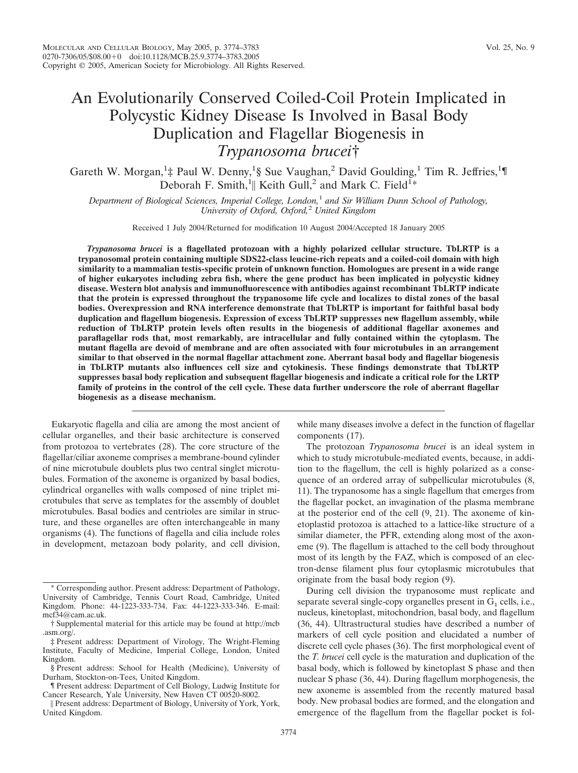# An Evolutionarily Conserved Coiled-Coil Protein Implicated in Polycystic Kidney Disease Is Involved in Basal Body Duplication and Flagellar Biogenesis in *Trypanosoma brucei*†

Gareth W. Morgan,<sup>1</sup>‡ Paul W. Denny,<sup>1</sup>§ Sue Vaughan,<sup>2</sup> David Goulding,<sup>1</sup> Tim R. Jeffries,<sup>1</sup>¶ Deborah F. Smith, <sup>1</sup>|| Keith Gull, <sup>2</sup> and Mark C. Field<sup>1</sup>\*

*Department of Biological Sciences, Imperial College, London,*<sup>1</sup> *and Sir William Dunn School of Pathology, University of Oxford, Oxford,*<sup>2</sup> *United Kingdom*

Received 1 July 2004/Returned for modification 10 August 2004/Accepted 18 January 2005

*Trypanosoma brucei* **is a flagellated protozoan with a highly polarized cellular structure. TbLRTP is a trypanosomal protein containing multiple SDS22-class leucine-rich repeats and a coiled-coil domain with high similarity to a mammalian testis-specific protein of unknown function. Homologues are present in a wide range of higher eukaryotes including zebra fish, where the gene product has been implicated in polycystic kidney disease. Western blot analysis and immunofluorescence with antibodies against recombinant TbLRTP indicate that the protein is expressed throughout the trypanosome life cycle and localizes to distal zones of the basal bodies. Overexpression and RNA interference demonstrate that TbLRTP is important for faithful basal body duplication and flagellum biogenesis. Expression of excess TbLRTP suppresses new flagellum assembly, while reduction of TbLRTP protein levels often results in the biogenesis of additional flagellar axonemes and paraflagellar rods that, most remarkably, are intracellular and fully contained within the cytoplasm. The mutant flagella are devoid of membrane and are often associated with four microtubules in an arrangement similar to that observed in the normal flagellar attachment zone. Aberrant basal body and flagellar biogenesis in TbLRTP mutants also influences cell size and cytokinesis. These findings demonstrate that TbLRTP suppresses basal body replication and subsequent flagellar biogenesis and indicate a critical role for the LRTP family of proteins in the control of the cell cycle. These data further underscore the role of aberrant flagellar biogenesis as a disease mechanism.**

Eukaryotic flagella and cilia are among the most ancient of cellular organelles, and their basic architecture is conserved from protozoa to vertebrates (28). The core structure of the flagellar/ciliar axoneme comprises a membrane-bound cylinder of nine microtubule doublets plus two central singlet microtubules. Formation of the axoneme is organized by basal bodies, cylindrical organelles with walls composed of nine triplet microtubules that serve as templates for the assembly of doublet microtubules. Basal bodies and centrioles are similar in structure, and these organelles are often interchangeable in many organisms (4). The functions of flagella and cilia include roles in development, metazoan body polarity, and cell division,

components (17). The protozoan *Trypanosoma brucei* is an ideal system in

while many diseases involve a defect in the function of flagellar

which to study microtubule-mediated events, because, in addition to the flagellum, the cell is highly polarized as a consequence of an ordered array of subpellicular microtubules (8, 11). The trypanosome has a single flagellum that emerges from the flagellar pocket, an invagination of the plasma membrane at the posterior end of the cell (9, 21). The axoneme of kinetoplastid protozoa is attached to a lattice-like structure of a similar diameter, the PFR, extending along most of the axoneme (9). The flagellum is attached to the cell body throughout most of its length by the FAZ, which is composed of an electron-dense filament plus four cytoplasmic microtubules that originate from the basal body region (9).

During cell division the trypanosome must replicate and separate several single-copy organelles present in  $G_1$  cells, i.e., nucleus, kinetoplast, mitochondrion, basal body, and flagellum (36, 44). Ultrastructural studies have described a number of markers of cell cycle position and elucidated a number of discrete cell cycle phases (36). The first morphological event of the *T. brucei* cell cycle is the maturation and duplication of the basal body, which is followed by kinetoplast S phase and then nuclear S phase (36, 44). During flagellum morphogenesis, the new axoneme is assembled from the recently matured basal body. New probasal bodies are formed, and the elongation and emergence of the flagellum from the flagellar pocket is fol-

<sup>\*</sup> Corresponding author. Present address: Department of Pathology, University of Cambridge, Tennis Court Road, Cambridge, United Kingdom. Phone: 44-1223-333-734. Fax: 44-1223-333-346. E-mail: mcf34@cam.ac.uk.

<sup>†</sup> Supplemental material for this article may be found at http://mcb .asm.org/.

<sup>‡</sup> Present address: Department of Virology, The Wright-Fleming Institute, Faculty of Medicine, Imperial College, London, United Kingdom.

<sup>§</sup> Present address: School for Health (Medicine), University of Durham, Stockton-on-Tees, United Kingdom.

<sup>¶</sup> Present address: Department of Cell Biology, Ludwig Institute for Cancer Research, Yale University, New Haven CT 00520-8002.

Present address: Department of Biology, University of York, York, United Kingdom.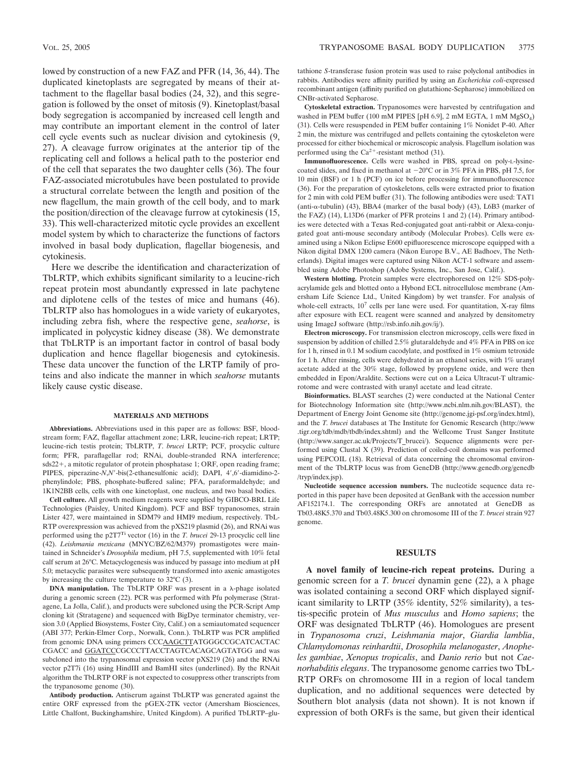lowed by construction of a new FAZ and PFR (14, 36, 44). The duplicated kinetoplasts are segregated by means of their attachment to the flagellar basal bodies (24, 32), and this segregation is followed by the onset of mitosis (9). Kinetoplast/basal body segregation is accompanied by increased cell length and may contribute an important element in the control of later cell cycle events such as nuclear division and cytokinesis (9, 27). A cleavage furrow originates at the anterior tip of the replicating cell and follows a helical path to the posterior end of the cell that separates the two daughter cells (36). The four FAZ-associated microtubules have been postulated to provide a structural correlate between the length and position of the new flagellum, the main growth of the cell body, and to mark the position/direction of the cleavage furrow at cytokinesis (15, 33). This well-characterized mitotic cycle provides an excellent model system by which to characterize the functions of factors involved in basal body duplication, flagellar biogenesis, and cytokinesis.

Here we describe the identification and characterization of TbLRTP, which exhibits significant similarity to a leucine-rich repeat protein most abundantly expressed in late pachytene and diplotene cells of the testes of mice and humans (46). TbLRTP also has homologues in a wide variety of eukaryotes, including zebra fish, where the respective gene, *seahorse*, is implicated in polycystic kidney disease (38). We demonstrate that TbLRTP is an important factor in control of basal body duplication and hence flagellar biogenesis and cytokinesis. These data uncover the function of the LRTP family of proteins and also indicate the manner in which *seahorse* mutants likely cause cystic disease.

#### **MATERIALS AND METHODS**

**Abbreviations.** Abbreviations used in this paper are as follows: BSF, bloodstream form; FAZ, flagellar attachment zone; LRR, leucine-rich repeat; LRTP; leucine-rich testis protein; TbLRTP, *T*. *brucei* LRTP; PCF, procyclic culture form; PFR, paraflagellar rod; RNAi, double-stranded RNA interference;  $sds22+$ , a mitotic regulator of protein phosphatase 1; ORF, open reading frame; PIPES, piperazine-*N*,*N'*-bis(2-ethanesulfonic acid); DAPI, 4',6'-diamidino-2phenylindole; PBS, phosphate-buffered saline; PFA, paraformaldehyde; and 1K1N2BB cells, cells with one kinetoplast, one nucleus, and two basal bodies.

**Cell culture.** All growth medium reagents were supplied by GIBCO-BRL Life Technologies (Paisley, United Kingdom). PCF and BSF trypanosomes, strain Lister 427, were maintained in SDM79 and HMI9 medium, respectively. TbL-RTP overexpression was achieved from the pXS219 plasmid (26), and RNAi was performed using the p2T7Ti vector (16) in the *T. brucei* 29-13 procyclic cell line (42). *Leishmania mexicana* (MNYC/BZ/62/M379) promastigotes were maintained in Schneider's *Drosophila* medium, pH 7.5, supplemented with 10% fetal calf serum at 26°C. Metacyclogenesis was induced by passage into medium at pH 5.0; metacyclic parasites were subsequently transformed into axenic amastigotes by increasing the culture temperature to 32°C (3).

**DNA manipulation.** The TbLRTP ORF was present in a  $\lambda$ -phage isolated during a genomic screen (22). PCR was performed with Pfu polymerase (Stratagene, La Jolla, Calif.), and products were subcloned using the PCR-Script Amp cloning kit (Stratagene) and sequenced with BigDye terminator chemistry, version 3.0 (Applied Biosystems, Foster City, Calif.) on a semiautomated sequencer (ABI 377; Perkin-Elmer Corp., Norwalk, Conn.). TbLRTP was PCR amplified from genomic DNA using primers CCCAAGCTTATGGGCCGCATCACTAC CGACC and GGATCCCGCCCTTACCTAGTCACAGCAGTATGG and was subcloned into the trypanosomal expression vector pXS219 (26) and the RNAi vector p2T7i (16) using HindIII and BamHI sites (underlined). By the RNAit algorithm the TbLRTP ORF is not expected to cosuppress other transcripts from the trypanosome genome (30).

**Antibody production.** Antiserum against TbLRTP was generated against the entire ORF expressed from the pGEX-2TK vector (Amersham Biosciences, Little Chalfont, Buckinghamshire, United Kingdom). A purified TbLRTP–glutathione *S*-transferase fusion protein was used to raise polyclonal antibodies in rabbits. Antibodies were affinity purified by using an *Escherichia coli*-expressed recombinant antigen (affinity purified on glutathione-Sepharose) immobilized on CNBr-activated Sepharose.

**Cytoskeletal extraction.** Trypanosomes were harvested by centrifugation and washed in PEM buffer (100 mM PIPES [pH 6.9], 2 mM EGTA, 1 mM  $MgSO<sub>4</sub>$ ) (31). Cells were resuspended in PEM buffer containing 1% Nonidet P-40. After 2 min, the mixture was centrifuged and pellets containing the cytoskeleton were processed for either biochemical or microscopic analysis. Flagellum isolation was performed using the  $Ca^{2+}$ -resistant method (31).

**Immunofluorescence.** Cells were washed in PBS, spread on poly-L-lysinecoated slides, and fixed in methanol at  $-20^{\circ}$ C or in 3% PFA in PBS, pH 7.5, for 10 min (BSF) or 1 h (PCF) on ice before processing for immunofluorescence (36). For the preparation of cytoskeletons, cells were extracted prior to fixation for 2 min with cold PEM buffer (31). The following antibodies were used: TAT1 (anti- $\alpha$ -tubulin) (43), BBA4 (marker of the basal body) (43), L6B3 (marker of the FAZ) (14), L13D6 (marker of PFR proteins 1 and 2) (14). Primary antibodies were detected with a Texas Red-conjugated goat anti-rabbit or Alexa-conjugated goat anti-mouse secondary antibody (Molecular Probes). Cells were examined using a Nikon Eclipse E600 epifluorescence microscope equipped with a Nikon digital DMX 1200 camera (Nikon Europe B.V., AE Badhoev, The Netherlands). Digital images were captured using Nikon ACT-1 software and assembled using Adobe Photoshop (Adobe Systems, Inc., San Jose, Calif.).

**Western blotting.** Protein samples were electrophoresed on 12% SDS-polyacrylamide gels and blotted onto a Hybond ECL nitrocellulose membrane (Amersham Life Science Ltd., United Kingdom) by wet transfer. For analysis of whole-cell extracts,  $10^7$  cells per lane were used. For quantitation, X-ray films after exposure with ECL reagent were scanned and analyzed by densitometry using ImageJ software (http://rsb.info.nih.gov/ij/).

**Electron microscopy.** For transmission electron microscopy, cells were fixed in suspension by addition of chilled 2.5% glutaraldehyde and 4% PFA in PBS on ice for 1 h, rinsed in 0.1 M sodium cacodylate, and postfixed in 1% osmium tetroxide for 1 h. After rinsing, cells were dehydrated in an ethanol series, with 1% uranyl acetate added at the 30% stage, followed by propylene oxide, and were then embedded in Epon/Araldite. Sections were cut on a Leica Ultracut-T ultramicrotome and were contrasted with uranyl acetate and lead citrate.

**Bioinformatics.** BLAST searches (2) were conducted at the National Center for Biotechnology Information site (http://www.ncbi.nlm.nih.gov/BLAST), the Department of Energy Joint Genome site (http://genome.jgi-psf.org/index.html), and the *T. brucei* databases at The Institute for Genomic Research (http://www .tigr.org/tdb/mdb/tbdb/index.shtml) and the Wellcome Trust Sanger Institute (http://www.sanger.ac.uk/Projects/T\_brucei/). Sequence alignments were performed using Clustal X (39). Prediction of coiled-coil domains was performed using PEPCOIL (18). Retrieval of data concerning the chromosomal environment of the TbLRTP locus was from GeneDB (http://www.genedb.org/genedb /tryp/index.jsp).

**Nucleotide sequence accession numbers.** The nucleotide sequence data reported in this paper have been deposited at GenBank with the accession number AF152174.1. The corresponding ORFs are annotated at GeneDB as Tb03.48K5.370 and Tb03.48K5.300 on chromosome III of the *T. brucei* strain 927 genome.

## **RESULTS**

**A novel family of leucine-rich repeat proteins.** During a genomic screen for a *T. brucei* dynamin gene  $(22)$ , a  $\lambda$  phage was isolated containing a second ORF which displayed significant similarity to LRTP (35% identity, 52% similarity), a testis-specific protein of *Mus musculus* and *Homo sapiens*; the ORF was designated TbLRTP (46). Homologues are present in *Trypanosoma cruzi*, *Leishmania major*, *Giardia lamblia*, *Chlamydomonas reinhardtii*, *Drosophila melanogaster*, *Anopheles gambiae*, *Xenopus tropicalis*, and *Danio rerio* but not *Caenorhabditis elegans*. The trypanosome genome carries two TbL-RTP ORFs on chromosome III in a region of local tandem duplication, and no additional sequences were detected by Southern blot analysis (data not shown). It is not known if expression of both ORFs is the same, but given their identical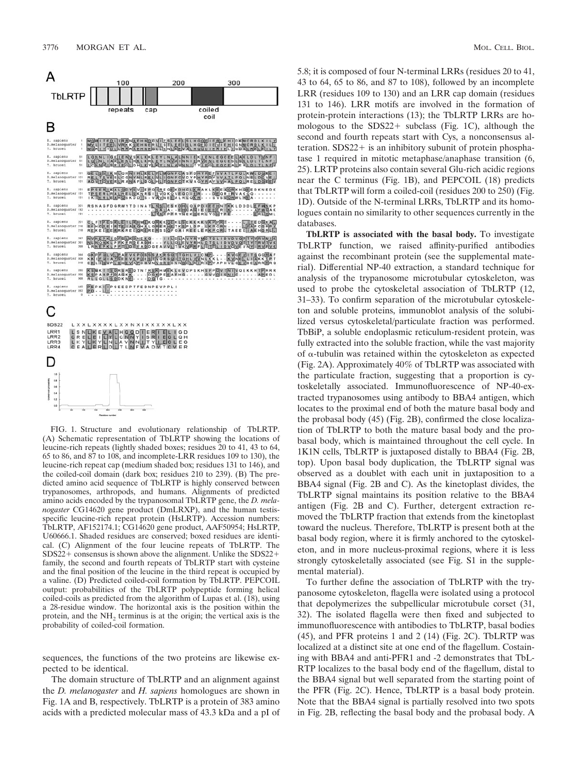

FIG. 1. Structure and evolutionary relationship of TbLRTP. (A) Schematic representation of TbLRTP showing the locations of leucine-rich repeats (lightly shaded boxes; residues 20 to 41, 43 to 64, 65 to 86, and 87 to 108, and incomplete-LRR residues 109 to 130), the leucine-rich repeat cap (medium shaded box; residues 131 to 146), and the coiled-coil domain (dark box; residues 210 to 239). (B) The predicted amino acid sequence of TbLRTP is highly conserved between trypanosomes, arthropods, and humans. Alignments of predicted amino acids encoded by the trypanosomal TbLRTP gene, the *D. melanogaster* CG14620 gene product (DmLRXP), and the human testisspecific leucine-rich repeat protein (HsLRTP). Accession numbers: TbLRTP, AF152174.1; CG14620 gene product, AAF50954; HsLRTP, U60666.1. Shaded residues are conserved; boxed residues are identical. (C) Alignment of the four leucine repeats of TbLRTP. The  $SDS22+$  consensus is shown above the alignment. Unlike the  $SDS22+$ family, the second and fourth repeats of TbLRTP start with cysteine and the final position of the leucine in the third repeat is occupied by a valine. (D) Predicted coiled-coil formation by TbLRTP. PEPCOIL output: probabilities of the TbLRTP polypeptide forming helical coiled-coils as predicted from the algorithm of Lupas et al. (18), using a 28-residue window. The horizontal axis is the position within the protein, and the NH<sub>2</sub> terminus is at the origin; the vertical axis is the probability of coiled-coil formation.

sequences, the functions of the two proteins are likewise expected to be identical.

The domain structure of TbLRTP and an alignment against the *D. melanogaster* and *H. sapiens* homologues are shown in Fig. 1A and B, respectively. TbLRTP is a protein of 383 amino acids with a predicted molecular mass of 43.3 kDa and a pI of 5.8; it is composed of four N-terminal LRRs (residues 20 to 41, 43 to 64, 65 to 86, and 87 to 108), followed by an incomplete LRR (residues 109 to 130) and an LRR cap domain (residues 131 to 146). LRR motifs are involved in the formation of protein-protein interactions (13); the TbLRTP LRRs are homologous to the  $SDS22+$  subclass (Fig. 1C), although the second and fourth repeats start with Cys, a nonconsensus alteration.  $SDS22+$  is an inhibitory subunit of protein phosphatase 1 required in mitotic metaphase/anaphase transition (6, 25). LRTP proteins also contain several Glu-rich acidic regions near the C terminus (Fig. 1B), and PEPCOIL (18) predicts that TbLRTP will form a coiled-coil (residues 200 to 250) (Fig. 1D). Outside of the N-terminal LRRs, TbLRTP and its homologues contain no similarity to other sequences currently in the databases.

**TbLRTP is associated with the basal body.** To investigate TbLRTP function, we raised affinity-purified antibodies against the recombinant protein (see the supplemental material). Differential NP-40 extraction, a standard technique for analysis of the trypanosome microtubular cytoskeleton, was used to probe the cytoskeletal association of TbLRTP (12, 31–33). To confirm separation of the microtubular cytoskeleton and soluble proteins, immunoblot analysis of the solubilized versus cytoskeletal/particulate fraction was performed. TbBiP, a soluble endoplasmic reticulum-resident protein, was fully extracted into the soluble fraction, while the vast majority of  $\alpha$ -tubulin was retained within the cytoskeleton as expected (Fig. 2A). Approximately 40% of TbLRTP was associated with the particulate fraction, suggesting that a proportion is cytoskeletally associated. Immunofluorescence of NP-40-extracted trypanosomes using antibody to BBA4 antigen, which locates to the proximal end of both the mature basal body and the probasal body (45) (Fig. 2B), confirmed the close localization of TbLRTP to both the mature basal body and the probasal body, which is maintained throughout the cell cycle. In 1K1N cells, TbLRTP is juxtaposed distally to BBA4 (Fig. 2B, top). Upon basal body duplication, the TbLRTP signal was observed as a doublet with each unit in juxtaposition to a BBA4 signal (Fig. 2B and C). As the kinetoplast divides, the TbLRTP signal maintains its position relative to the BBA4 antigen (Fig. 2B and C). Further, detergent extraction removed the TbLRTP fraction that extends from the kinetoplast toward the nucleus. Therefore, TbLRTP is present both at the basal body region, where it is firmly anchored to the cytoskeleton, and in more nucleus-proximal regions, where it is less strongly cytoskeletally associated (see Fig. S1 in the supplemental material).

To further define the association of TbLRTP with the trypanosome cytoskeleton, flagella were isolated using a protocol that depolymerizes the subpellicular microtubule corset (31, 32). The isolated flagella were then fixed and subjected to immunofluorescence with antibodies to TbLRTP, basal bodies (45), and PFR proteins 1 and 2 (14) (Fig. 2C). TbLRTP was localized at a distinct site at one end of the flagellum. Costaining with BBA4 and anti-PFR1 and -2 demonstrates that TbL-RTP localizes to the basal body end of the flagellum, distal to the BBA4 signal but well separated from the starting point of the PFR (Fig. 2C). Hence, TbLRTP is a basal body protein. Note that the BBA4 signal is partially resolved into two spots in Fig. 2B, reflecting the basal body and the probasal body. A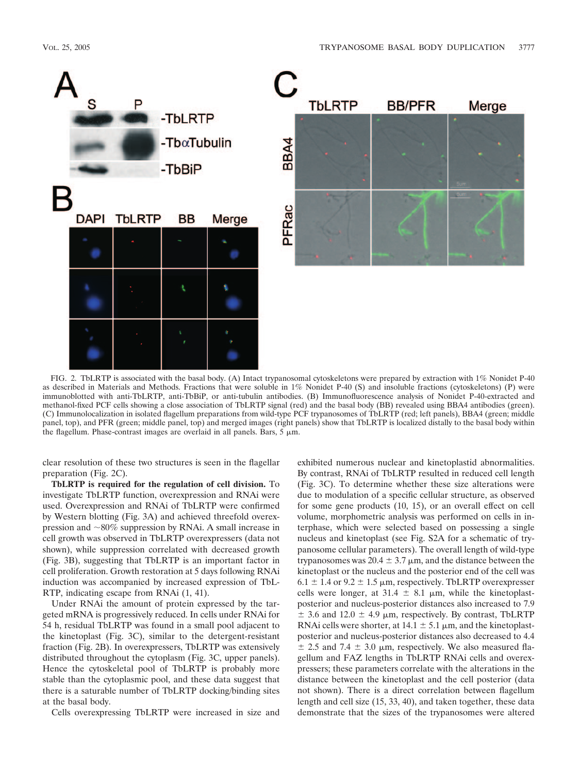



FIG. 2. TbLRTP is associated with the basal body. (A) Intact trypanosomal cytoskeletons were prepared by extraction with 1% Nonidet P-40 as described in Materials and Methods. Fractions that were soluble in 1% Nonidet P-40 (S) and insoluble fractions (cytoskeletons) (P) were immunoblotted with anti-TbLRTP, anti-TbBiP, or anti-tubulin antibodies. (B) Immunofluorescence analysis of Nonidet P-40-extracted and methanol-fixed PCF cells showing a close association of TbLRTP signal (red) and the basal body (BB) revealed using BBA4 antibodies (green). (C) Immunolocalization in isolated flagellum preparations from wild-type PCF trypanosomes of TbLRTP (red; left panels), BBA4 (green; middle panel, top), and PFR (green; middle panel, top) and merged images (right panels) show that TbLRTP is localized distally to the basal body within the flagellum. Phase-contrast images are overlaid in all panels. Bars,  $5 \mu m$ .

clear resolution of these two structures is seen in the flagellar preparation (Fig. 2C).

**TbLRTP is required for the regulation of cell division.** To investigate TbLRTP function, overexpression and RNAi were used. Overexpression and RNAi of TbLRTP were confirmed by Western blotting (Fig. 3A) and achieved threefold overexpression and  $\sim 80\%$  suppression by RNAi. A small increase in cell growth was observed in TbLRTP overexpressers (data not shown), while suppression correlated with decreased growth (Fig. 3B), suggesting that TbLRTP is an important factor in cell proliferation. Growth restoration at 5 days following RNAi induction was accompanied by increased expression of TbL-RTP, indicating escape from RNAi (1, 41).

Under RNAi the amount of protein expressed by the targeted mRNA is progressively reduced. In cells under RNAi for 54 h, residual TbLRTP was found in a small pool adjacent to the kinetoplast (Fig. 3C), similar to the detergent-resistant fraction (Fig. 2B). In overexpressers, TbLRTP was extensively distributed throughout the cytoplasm (Fig. 3C, upper panels). Hence the cytoskeletal pool of TbLRTP is probably more stable than the cytoplasmic pool, and these data suggest that there is a saturable number of TbLRTP docking/binding sites at the basal body.

Cells overexpressing TbLRTP were increased in size and

exhibited numerous nuclear and kinetoplastid abnormalities. By contrast, RNAi of TbLRTP resulted in reduced cell length (Fig. 3C). To determine whether these size alterations were due to modulation of a specific cellular structure, as observed for some gene products (10, 15), or an overall effect on cell volume, morphometric analysis was performed on cells in interphase, which were selected based on possessing a single nucleus and kinetoplast (see Fig. S2A for a schematic of trypanosome cellular parameters). The overall length of wild-type trypanosomes was 20.4  $\pm$  3.7  $\mu$ m, and the distance between the kinetoplast or the nucleus and the posterior end of the cell was  $6.1 \pm 1.4$  or  $9.2 \pm 1.5$  µm, respectively. TbLRTP overexpresser cells were longer, at 31.4  $\pm$  8.1  $\mu$ m, while the kinetoplastposterior and nucleus-posterior distances also increased to 7.9  $\pm$  3.6 and 12.0  $\pm$  4.9 µm, respectively. By contrast, TbLRTP RNAi cells were shorter, at  $14.1 \pm 5.1 \,\mu$ m, and the kinetoplastposterior and nucleus-posterior distances also decreased to 4.4  $\pm$  2.5 and 7.4  $\pm$  3.0  $\mu$ m, respectively. We also measured flagellum and FAZ lengths in TbLRTP RNAi cells and overexpressers; these parameters correlate with the alterations in the distance between the kinetoplast and the cell posterior (data not shown). There is a direct correlation between flagellum length and cell size (15, 33, 40), and taken together, these data demonstrate that the sizes of the trypanosomes were altered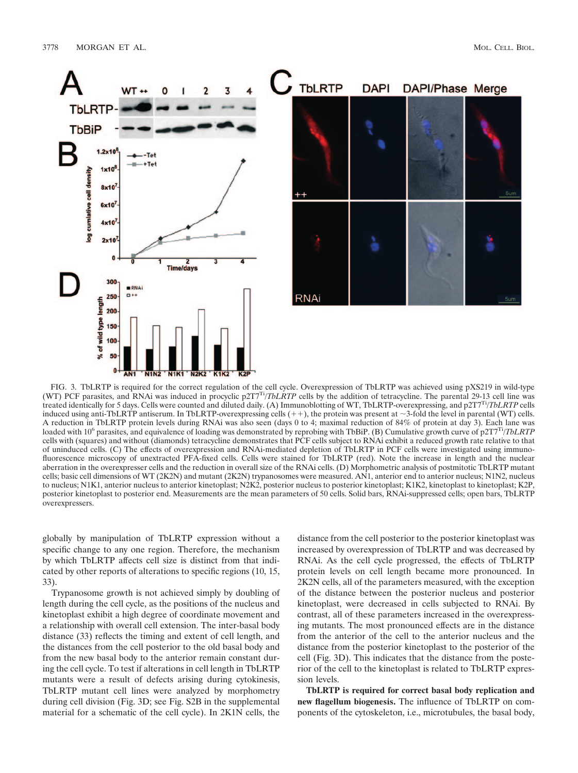

FIG. 3. TbLRTP is required for the correct regulation of the cell cycle. Overexpression of TbLRTP was achieved using pXS219 in wild-type (WT) PCF parasites, and RNAi was induced in procyclic  $p2TT^{Tj}/TbLRTP$  cells by the ad treated identically for 5 days. Cells were counted and diluted daily. (A) Immunoblotting of WT, TbLRTP-overexpressing, and p2T7Ti/*TbLRTP* cells induced using anti-TbLRTP antiserum. In TbLRTP-overexpressing cells  $(++)$ , the protein was present at  $\sim$ 3-fold the level in parental (WT) cells. A reduction in TbLRTP protein levels during RNAi was also seen (days 0 to 4; maximal reduction of 84% of protein at day 3). Each lane was loaded with 106 parasites, and equivalence of loading was demonstrated by reprobing with TbBiP. (B) Cumulative growth curve of p2T7Ti/*TbLRTP* cells with (squares) and without (diamonds) tetracycline demonstrates that PCF cells subject to RNAi exhibit a reduced growth rate relative to that of uninduced cells. (C) The effects of overexpression and RNAi-mediated depletion of TbLRTP in PCF cells were investigated using immunofluorescence microscopy of unextracted PFA-fixed cells. Cells were stained for TbLRTP (red). Note the increase in length and the nuclear aberration in the overexpresser cells and the reduction in overall size of the RNAi cells. (D) Morphometric analysis of postmitotic TbLRTP mutant cells; basic cell dimensions of WT (2K2N) and mutant (2K2N) trypanosomes were measured. AN1, anterior end to anterior nucleus; N1N2, nucleus to nucleus; N1K1, anterior nucleus to anterior kinetoplast; N2K2, posterior nucleus to posterior kinetoplast; K1K2, kinetoplast to kinetoplast; K2P, posterior kinetoplast to posterior end. Measurements are the mean parameters of 50 cells. Solid bars, RNAi-suppressed cells; open bars, TbLRTP overexpressers.

globally by manipulation of TbLRTP expression without a specific change to any one region. Therefore, the mechanism by which TbLRTP affects cell size is distinct from that indicated by other reports of alterations to specific regions (10, 15, 33).

Trypanosome growth is not achieved simply by doubling of length during the cell cycle, as the positions of the nucleus and kinetoplast exhibit a high degree of coordinate movement and a relationship with overall cell extension. The inter-basal body distance (33) reflects the timing and extent of cell length, and the distances from the cell posterior to the old basal body and from the new basal body to the anterior remain constant during the cell cycle. To test if alterations in cell length in TbLRTP mutants were a result of defects arising during cytokinesis, TbLRTP mutant cell lines were analyzed by morphometry during cell division (Fig. 3D; see Fig. S2B in the supplemental material for a schematic of the cell cycle). In 2K1N cells, the

distance from the cell posterior to the posterior kinetoplast was increased by overexpression of TbLRTP and was decreased by RNAi. As the cell cycle progressed, the effects of TbLRTP protein levels on cell length became more pronounced. In 2K2N cells, all of the parameters measured, with the exception of the distance between the posterior nucleus and posterior kinetoplast, were decreased in cells subjected to RNAi. By contrast, all of these parameters increased in the overexpressing mutants. The most pronounced effects are in the distance from the anterior of the cell to the anterior nucleus and the distance from the posterior kinetoplast to the posterior of the cell (Fig. 3D). This indicates that the distance from the posterior of the cell to the kinetoplast is related to TbLRTP expression levels.

**TbLRTP is required for correct basal body replication and new flagellum biogenesis.** The influence of TbLRTP on components of the cytoskeleton, i.e., microtubules, the basal body,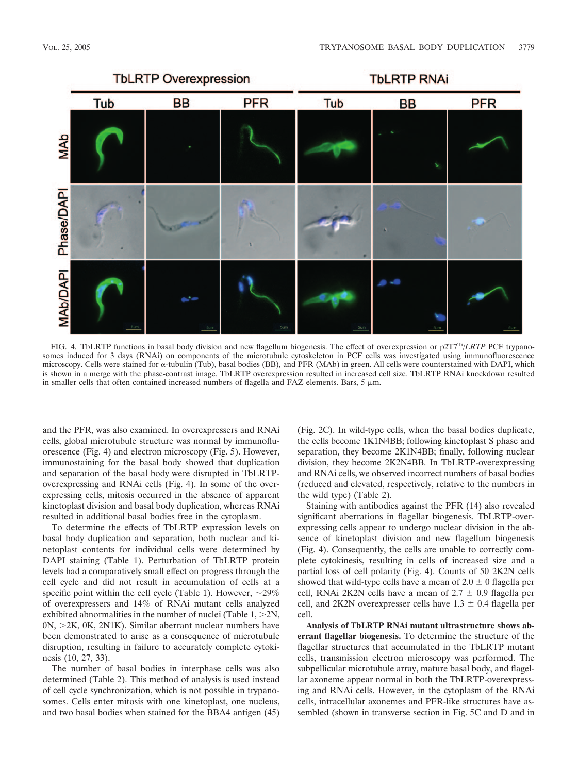

FIG. 4. TbLRTP functions in basal body division and new flagellum biogenesis. The effect of overexpression or p2T7Ti/*LRTP* PCF trypanosomes induced for 3 days (RNAi) on components of the microtubule cytoskeleton in PCF cells was investigated using immunofluorescence microscopy. Cells were stained for  $\alpha$ -tubulin (Tub), basal bodies (BB), and PFR (MAb) in green. All cells were counterstained with DAPI, which is shown in a merge with the phase-contrast image. TbLRTP overexpression resulted in increased cell size. TbLRTP RNAi knockdown resulted in smaller cells that often contained increased numbers of flagella and FAZ elements. Bars,  $5 \mu m$ .

and the PFR, was also examined. In overexpressers and RNAi cells, global microtubule structure was normal by immunofluorescence (Fig. 4) and electron microscopy (Fig. 5). However, immunostaining for the basal body showed that duplication and separation of the basal body were disrupted in TbLRTPoverexpressing and RNAi cells (Fig. 4). In some of the overexpressing cells, mitosis occurred in the absence of apparent kinetoplast division and basal body duplication, whereas RNAi resulted in additional basal bodies free in the cytoplasm.

To determine the effects of TbLRTP expression levels on basal body duplication and separation, both nuclear and kinetoplast contents for individual cells were determined by DAPI staining (Table 1). Perturbation of TbLRTP protein levels had a comparatively small effect on progress through the cell cycle and did not result in accumulation of cells at a specific point within the cell cycle (Table 1). However,  $\sim$ 29% of overexpressers and 14% of RNAi mutant cells analyzed exhibited abnormalities in the number of nuclei (Table  $1, >2N$ ,  $0N$ ,  $>2K$ ,  $0K$ ,  $2N1K$ ). Similar aberrant nuclear numbers have been demonstrated to arise as a consequence of microtubule disruption, resulting in failure to accurately complete cytokinesis (10, 27, 33).

The number of basal bodies in interphase cells was also determined (Table 2). This method of analysis is used instead of cell cycle synchronization, which is not possible in trypanosomes. Cells enter mitosis with one kinetoplast, one nucleus, and two basal bodies when stained for the BBA4 antigen (45)

(Fig. 2C). In wild-type cells, when the basal bodies duplicate, the cells become 1K1N4BB; following kinetoplast S phase and separation, they become 2K1N4BB; finally, following nuclear division, they become 2K2N4BB. In TbLRTP-overexpressing and RNAi cells, we observed incorrect numbers of basal bodies (reduced and elevated, respectively, relative to the numbers in the wild type) (Table 2).

Staining with antibodies against the PFR (14) also revealed significant aberrations in flagellar biogenesis. TbLRTP-overexpressing cells appear to undergo nuclear division in the absence of kinetoplast division and new flagellum biogenesis (Fig. 4). Consequently, the cells are unable to correctly complete cytokinesis, resulting in cells of increased size and a partial loss of cell polarity (Fig. 4). Counts of 50 2K2N cells showed that wild-type cells have a mean of  $2.0 \pm 0$  flagella per cell, RNAi 2K2N cells have a mean of  $2.7 \pm 0.9$  flagella per cell, and 2K2N overexpresser cells have  $1.3 \pm 0.4$  flagella per cell.

**Analysis of TbLRTP RNAi mutant ultrastructure shows aberrant flagellar biogenesis.** To determine the structure of the flagellar structures that accumulated in the TbLRTP mutant cells, transmission electron microscopy was performed. The subpellicular microtubule array, mature basal body, and flagellar axoneme appear normal in both the TbLRTP-overexpressing and RNAi cells. However, in the cytoplasm of the RNAi cells, intracellular axonemes and PFR-like structures have assembled (shown in transverse section in Fig. 5C and D and in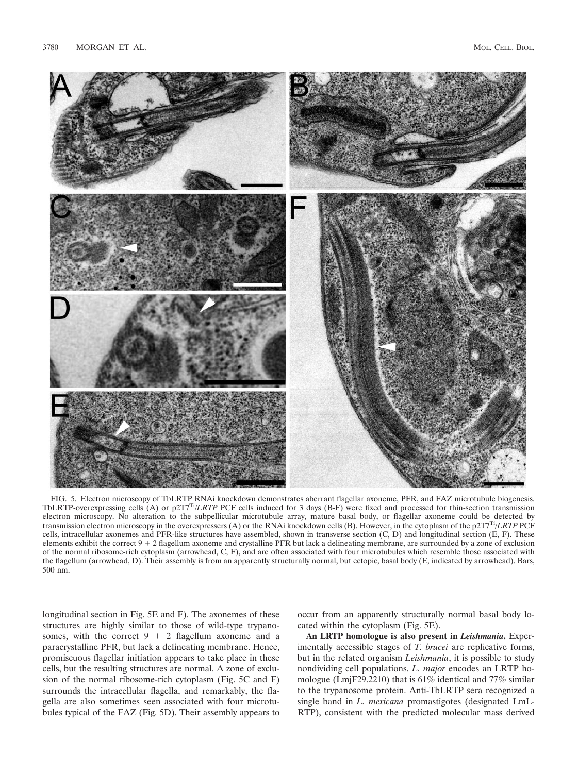

FIG. 5. Electron microscopy of TbLRTP RNAi knockdown demonstrates aberrant flagellar axoneme, PFR, and FAZ microtubule biogenesis. TbLRTP-overexpressing cells (A) or p2T7Ti/*LRTP* PCF cells induced for 3 days (B-F) were fixed and processed for thin-section transmission electron microscopy. No alteration to the subpellicular microtubule array, mature basal body, or flagellar axoneme could be detected by transmission electron microscopy in the overexpressers (A) or the RNAi knockdown cells (B). However, in the cytoplasm of the p2T7Ti/*LRTP* PCF cells, intracellular axonemes and PFR-like structures have assembled, shown in transverse section (C, D) and longitudinal section (E, F). These elements exhibit the correct  $9 + 2$  flagellum axoneme and crystalline PFR but lack a delineating membrane, are surrounded by a zone of exclusion of the normal ribosome-rich cytoplasm (arrowhead, C, F), and are often associated with four microtubules which resemble those associated with the flagellum (arrowhead, D). Their assembly is from an apparently structurally normal, but ectopic, basal body (E, indicated by arrowhead). Bars, 500 nm.

longitudinal section in Fig. 5E and F). The axonemes of these structures are highly similar to those of wild-type trypanosomes, with the correct  $9 + 2$  flagellum axoneme and a paracrystalline PFR, but lack a delineating membrane. Hence, promiscuous flagellar initiation appears to take place in these cells, but the resulting structures are normal. A zone of exclusion of the normal ribosome-rich cytoplasm (Fig. 5C and F) surrounds the intracellular flagella, and remarkably, the flagella are also sometimes seen associated with four microtubules typical of the FAZ (Fig. 5D). Their assembly appears to

occur from an apparently structurally normal basal body located within the cytoplasm (Fig. 5E).

**An LRTP homologue is also present in** *Leishmania***.** Experimentally accessible stages of *T. brucei* are replicative forms, but in the related organism *Leishmania*, it is possible to study nondividing cell populations. *L. major* encodes an LRTP homologue (LmjF29.2210) that is 61% identical and 77% similar to the trypanosome protein. Anti-TbLRTP sera recognized a single band in *L. mexicana* promastigotes (designated LmL-RTP), consistent with the predicted molecular mass derived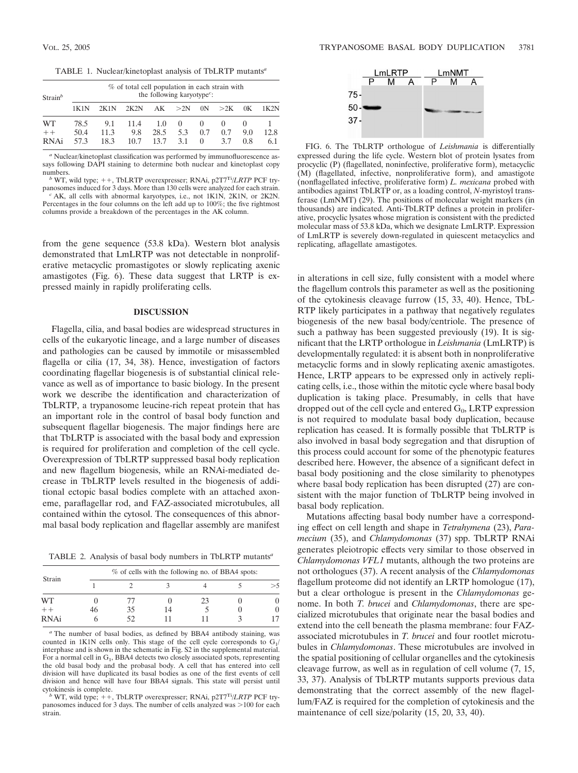| $Strain^b$ | % of total cell population in each strain with<br>the following karyotype <sup>c</sup> : |      |      |      |          |                |          |     |      |  |  |
|------------|------------------------------------------------------------------------------------------|------|------|------|----------|----------------|----------|-----|------|--|--|
|            |                                                                                          | 2K1N | 2K2N |      | AK > 2N  | 0 <sup>N</sup> | >2K      | 0K  | 1K2N |  |  |
| <b>WT</b>  | 78.5                                                                                     | 9.1  | 11.4 | 1.0  | $\theta$ | $\theta$       | $\theta$ |     |      |  |  |
| $++$       | 50.4                                                                                     | 11.3 | 9.8  | 28.5 | 5.3      | 0.7            | 0.7      | 9.0 | 12.8 |  |  |
| RNAi       | 57.3                                                                                     | 18.3 | 10.7 | 13.7 | 3.1      | $\theta$       | 37       | 0.8 | 61   |  |  |

*<sup>a</sup>* Nuclear/kinetoplast classification was performed by immunofluorescence assays following DAPI staining to determine both nuclear and kinetoplast copy numbers.

<sup>*b*</sup> WT, wild type;  $++$ , TbLRTP overexpresser; RNAi,  $p2TT^{T}$ */LRTP* PCF try-<br>panosomes induced for 3 days. More than 130 cells were analyzed for each strain.

<sup>2</sup> AK, all cells with abnormal karyotypes, i.e., not 1K1N, 2K1N, or 2K2N. Percentages in the four columns on the left add up to 100%; the five rightmost columns provide a breakdown of the percentages in the AK column.

from the gene sequence (53.8 kDa). Western blot analysis demonstrated that LmLRTP was not detectable in nonproliferative metacyclic promastigotes or slowly replicating axenic amastigotes (Fig. 6). These data suggest that LRTP is expressed mainly in rapidly proliferating cells.

## **DISCUSSION**

Flagella, cilia, and basal bodies are widespread structures in cells of the eukaryotic lineage, and a large number of diseases and pathologies can be caused by immotile or misassembled flagella or cilia (17, 34, 38). Hence, investigation of factors coordinating flagellar biogenesis is of substantial clinical relevance as well as of importance to basic biology. In the present work we describe the identification and characterization of TbLRTP, a trypanosome leucine-rich repeat protein that has an important role in the control of basal body function and subsequent flagellar biogenesis. The major findings here are that TbLRTP is associated with the basal body and expression is required for proliferation and completion of the cell cycle. Overexpression of TbLRTP suppressed basal body replication and new flagellum biogenesis, while an RNAi-mediated decrease in TbLRTP levels resulted in the biogenesis of additional ectopic basal bodies complete with an attached axoneme, paraflagellar rod, and FAZ-associated microtubules, all contained within the cytosol. The consequences of this abnormal basal body replication and flagellar assembly are manifest

TABLE 2. Analysis of basal body numbers in TbLRTP mutants*<sup>a</sup>*

|        | % of cells with the following no. of BBA4 spots: |     |    |    |  |  |  |  |  |  |
|--------|--------------------------------------------------|-----|----|----|--|--|--|--|--|--|
| Strain |                                                  |     |    |    |  |  |  |  |  |  |
| WТ     |                                                  |     |    | 23 |  |  |  |  |  |  |
| $++$   | 46                                               | 35  | 14 |    |  |  |  |  |  |  |
| RNAi   |                                                  | 52. |    |    |  |  |  |  |  |  |

*<sup>a</sup>* The number of basal bodies, as defined by BBA4 antibody staining, was counted in 1K1N cells only. This stage of the cell cycle corresponds to  $G_1/$ interphase and is shown in the schematic in Fig. S2 in the supplemental material. For a normal cell in  $G_1$ , BBA4 detects two closely associated spots, representing the old basal body and the probasal body. A cell that has entered into cell division will have duplicated its basal bodies as one of the first events of cell division and hence will have four BBA4 signals. This state will persist until cytokinesis is complete.<br><sup>*b*</sup> WT, wild type; ++, TbLRTP overexpresser; RNAi, p2T7<sup>Ti</sup>/*LRTP* PCF try-

panosomes induced for 3 days. The number of cells analyzed was  $>100$  for each strain.



FIG. 6. The TbLRTP orthologue of *Leishmania* is differentially expressed during the life cycle. Western blot of protein lysates from procyclic (P) (flagellated, noninfective, proliferative form), metacyclic (M) (flagellated, infective, nonproliferative form), and amastigote (nonflagellated infective, proliferative form) *L. mexicana* probed with antibodies against TbLRTP or, as a loading control, *N*-myristoyl transferase (LmNMT) (29). The positions of molecular weight markers (in thousands) are indicated. Anti-TbLRTP defines a protein in proliferative, procyclic lysates whose migration is consistent with the predicted molecular mass of 53.8 kDa, which we designate LmLRTP. Expression of LmLRTP is severely down-regulated in quiescent metacyclics and replicating, aflagellate amastigotes.

in alterations in cell size, fully consistent with a model where the flagellum controls this parameter as well as the positioning of the cytokinesis cleavage furrow (15, 33, 40). Hence, TbL-RTP likely participates in a pathway that negatively regulates biogenesis of the new basal body/centriole. The presence of such a pathway has been suggested previously (19). It is significant that the LRTP orthologue in *Leishmania* (LmLRTP) is developmentally regulated: it is absent both in nonproliferative metacyclic forms and in slowly replicating axenic amastigotes. Hence, LRTP appears to be expressed only in actively replicating cells, i.e., those within the mitotic cycle where basal body duplication is taking place. Presumably, in cells that have dropped out of the cell cycle and entered  $G_0$ , LRTP expression is not required to modulate basal body duplication, because replication has ceased. It is formally possible that TbLRTP is also involved in basal body segregation and that disruption of this process could account for some of the phenotypic features described here. However, the absence of a significant defect in basal body positioning and the close similarity to phenotypes where basal body replication has been disrupted (27) are consistent with the major function of TbLRTP being involved in basal body replication.

Mutations affecting basal body number have a corresponding effect on cell length and shape in *Tetrahymena* (23), *Paramecium* (35), and *Chlamydomonas* (37) spp. TbLRTP RNAi generates pleiotropic effects very similar to those observed in *Chlamydomonas VFL1* mutants, although the two proteins are not orthologues (37). A recent analysis of the *Chlamydomonas* flagellum proteome did not identify an LRTP homologue (17), but a clear orthologue is present in the *Chlamydomonas* genome. In both *T. brucei* and *Chlamydomonas*, there are specialized microtubules that originate near the basal bodies and extend into the cell beneath the plasma membrane: four FAZassociated microtubules in *T. brucei* and four rootlet microtubules in *Chlamydomonas*. These microtubules are involved in the spatial positioning of cellular organelles and the cytokinesis cleavage furrow, as well as in regulation of cell volume (7, 15, 33, 37). Analysis of TbLRTP mutants supports previous data demonstrating that the correct assembly of the new flagellum/FAZ is required for the completion of cytokinesis and the maintenance of cell size/polarity (15, 20, 33, 40).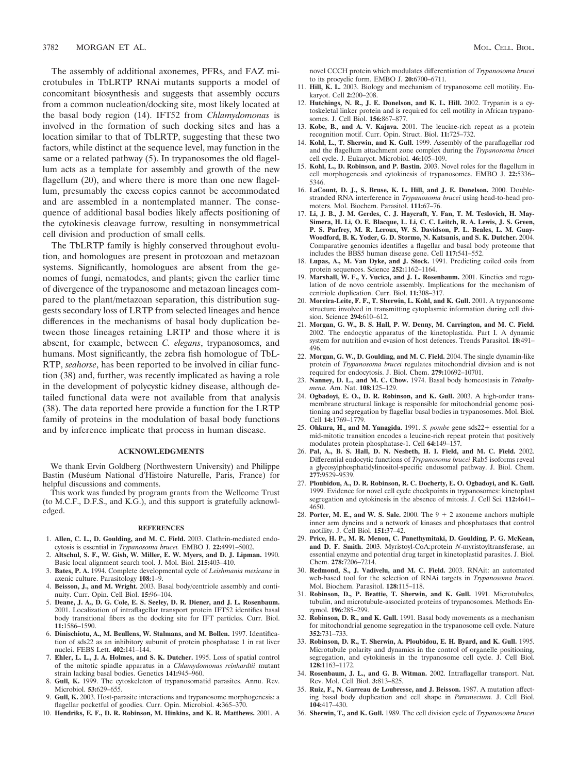The assembly of additional axonemes, PFRs, and FAZ microtubules in TbLRTP RNAi mutants supports a model of concomitant biosynthesis and suggests that assembly occurs from a common nucleation/docking site, most likely located at the basal body region (14). IFT52 from *Chlamydomonas* is involved in the formation of such docking sites and has a location similar to that of TbLRTP, suggesting that these two factors, while distinct at the sequence level, may function in the same or a related pathway (5). In trypanosomes the old flagellum acts as a template for assembly and growth of the new flagellum (20), and where there is more than one new flagellum, presumably the excess copies cannot be accommodated and are assembled in a nontemplated manner. The consequence of additional basal bodies likely affects positioning of the cytokinesis cleavage furrow, resulting in nonsymmetrical cell division and production of small cells.

The TbLRTP family is highly conserved throughout evolution, and homologues are present in protozoan and metazoan systems. Significantly, homologues are absent from the genomes of fungi, nematodes, and plants; given the earlier time of divergence of the trypanosome and metazoan lineages compared to the plant/metazoan separation, this distribution suggests secondary loss of LRTP from selected lineages and hence differences in the mechanisms of basal body duplication between those lineages retaining LRTP and those where it is absent, for example, between *C. elegans*, trypanosomes, and humans. Most significantly, the zebra fish homologue of TbL-RTP, *seahorse*, has been reported to be involved in ciliar function (38) and, further, was recently implicated as having a role in the development of polycystic kidney disease, although detailed functional data were not available from that analysis (38). The data reported here provide a function for the LRTP family of proteins in the modulation of basal body functions and by inference implicate that process in human disease.

### **ACKNOWLEDGMENTS**

We thank Ervin Goldberg (Northwestern University) and Philippe Bastin (Muséum National d'Histoire Naturelle, Paris, France) for helpful discussions and comments.

This work was funded by program grants from the Wellcome Trust (to M.C.F., D.F.S., and K.G.), and this support is gratefully acknowledged.

#### **REFERENCES**

- 1. **Allen, C. L., D. Goulding, and M. C. Field.** 2003. Clathrin-mediated endocytosis is essential in *Trypanosoma brucei.* EMBO J. **22:**4991–5002.
- 2. **Altschul, S. F., W. Gish, W. Miller, E. W. Myers, and D. J. Lipman.** 1990. Basic local alignment search tool. J. Mol. Biol. **215:**403–410.
- 3. **Bates, P. A.** 1994. Complete developmental cycle of *Leishmania mexicana* in axenic culture. Parasitology **108:**1–9.
- 4. **Beisson, J., and M. Wright.** 2003. Basal body/centriole assembly and continuity. Curr. Opin. Cell Biol. **15:**96–104.
- 5. **Deane, J. A., D. G. Cole, E. S. Seeley, D. R. Diener, and J. L. Rosenbaum.** 2001. Localization of intraflagellar transport protein IFT52 identifies basal body transitional fibers as the docking site for IFT particles. Curr. Biol. **11:**1586–1590.
- 6. **Dinischiotu, A., M. Beullens, W. Stalmans, and M. Bollen.** 1997. Identification of sds22 as an inhibitory subunit of protein phosphatase 1 in rat liver nuclei. FEBS Lett. **402:**141–144.
- 7. **Ehler, L. L., J. A. Holmes, and S. K. Dutcher.** 1995. Loss of spatial control of the mitotic spindle apparatus in a *Chlamydomonas reinhardtii* mutant strain lacking basal bodies. Genetics **141:**945–960.
- 8. **Gull, K.** 1999. The cytoskeleton of trypanosomatid parasites. Annu. Rev. Microbiol. **53:**629–655.
- 9. **Gull, K.** 2003. Host-parasite interactions and trypanosome morphogenesis: a flagellar pocketful of goodies. Curr. Opin. Microbiol. **4:**365–370.
- 10. **Hendriks, E. F., D. R. Robinson, M. Hinkins, and K. R. Matthews.** 2001. A

novel CCCH protein which modulates differentiation of *Trypanosoma brucei* to its procyclic form. EMBO J. **20:**6700–6711.

- 11. **Hill, K. L.** 2003. Biology and mechanism of trypanosome cell motility. Eukaryot. Cell **2:**200–208.
- 12. **Hutchings, N. R., J. E. Donelson, and K. L. Hill.** 2002. Trypanin is a cytoskeletal linker protein and is required for cell motility in African trypanosomes. J. Cell Biol. **156:**867–877.
- 13. **Kobe, B., and A. V. Kajava.** 2001. The leucine-rich repeat as a protein recognition motif. Curr. Opin. Struct. Biol. **11:**725–732.
- 14. **Kohl, L., T. Sherwin, and K. Gull.** 1999. Assembly of the paraflagellar rod and the flagellum attachment zone complex during the *Trypanosoma brucei* cell cycle. J. Eukaryot. Microbiol. **46:**105–109.
- 15. **Kohl, L., D. Robinson, and P. Bastin.** 2003. Novel roles for the flagellum in cell morphogenesis and cytokinesis of trypanosomes. EMBO J. **22:**5336– 5346.
- 16. **LaCount, D. J., S. Bruse, K. L. Hill, and J. E. Donelson.** 2000. Doublestranded RNA interference in *Trypanosoma brucei* using head-to-head promoters. Mol. Biochem. Parasitol. **111:**67–76.
- 17. **Li, J. B., J. M. Gerdes, C. J. Haycraft, Y. Fan, T. M. Teslovich, H. May-Simera, H. Li, O. E. Blacque, L. Li, C. C. Leitch, R. A. Lewis, J. S. Green, P. S. Parfrey, M. R. Leroux, W. S. Davidson, P. L. Beales, L. M. Guay-Woodford, B. K. Yoder, G. D. Stormo, N. Katsanis, and S. K. Dutcher.** 2004. Comparative genomics identifies a flagellar and basal body proteome that includes the BBS5 human disease gene. Cell **117:**541–552.
- 18. **Lupas, A., M. Van Dyke, and J. Stock.** 1991. Predicting coiled coils from protein sequences. Science **252:**1162–1164.
- 19. **Marshall, W. F., Y. Vucica, and J. L. Rosenbaum.** 2001. Kinetics and regulation of de novo centriole assembly. Implications for the mechanism of centriole duplication. Curr. Biol. **11:**308–317.
- 20. **Moreira-Leite, F. F., T. Sherwin, L. Kohl, and K. Gull.** 2001. A trypanosome structure involved in transmitting cytoplasmic information during cell division. Science **294:**610–612.
- 21. **Morgan, G. W., B. S. Hall, P. W. Denny, M. Carrington, and M. C. Field.** 2002. The endocytic apparatus of the kinetoplastida. Part I. A dynamic system for nutrition and evasion of host defences. Trends Parasitol. **18:**491– 496.
- 22. **Morgan, G. W., D. Goulding, and M. C. Field.** 2004. The single dynamin-like protein of *Trypanosoma brucei* regulates mitochondrial division and is not required for endocytosis. J. Biol. Chem. **279:**10692–10701.
- 23. **Nanney, D. L., and M. C. Chow.** 1974. Basal body homeostasis in *Tetrahymena.* Am. Nat. **108:**125–129.
- 24. **Ogbadoyi, E. O., D. R. Robinson, and K. Gull.** 2003. A high-order transmembrane structural linkage is responsible for mitochondrial genome positioning and segregation by flagellar basal bodies in trypanosomes. Mol. Biol. Cell **14:**1769–1779.
- 25. **Ohkura, H., and M. Yanagida.** 1991. *S. pombe* gene sds22 essential for a mid-mitotic transition encodes a leucine-rich repeat protein that positively modulates protein phosphatase-1. Cell **64:**149–157.
- 26. **Pal, A., B. S. Hall, D. N. Nesbeth, H. I. Field, and M. C. Field.** 2002. Differential endocytic functions of *Trypanosoma brucei* Rab5 isoforms reveal a glycosylphosphatidylinositol-specific endosomal pathway. J. Biol. Chem. **277:**9529–9539.
- 27. **Ploubidou, A., D. R. Robinson, R. C. Docherty, E. O. Ogbadoyi, and K. Gull.** 1999. Evidence for novel cell cycle checkpoints in trypanosomes: kinetoplast segregation and cytokinesis in the absence of mitosis. J. Cell Sci. **112:**4641– 4650.
- 28. **Porter, M. E., and W. S. Sale.** 2000. The  $9 + 2$  axoneme anchors multiple inner arm dyneins and a network of kinases and phosphatases that control motility. J. Cell Biol. **151:**37–42.
- 29. **Price, H. P., M. R. Menon, C. Panethymitaki, D. Goulding, P. G. McKean, and D. F. Smith.** 2003. Myristoyl-CoA:protein *N*-myristoyltransferase, an essential enzyme and potential drug target in kinetoplastid parasites. J. Biol. Chem. **278:**7206–7214.
- 30. **Redmond, S., J. Vadivelu, and M. C. Field.** 2003. RNAit: an automated web-based tool for the selection of RNAi targets in *Trypanosoma brucei*. Mol. Biochem. Parasitol. **128:**115–118.
- 31. **Robinson, D., P. Beattie, T. Sherwin, and K. Gull.** 1991. Microtubules, tubulin, and microtubule-associated proteins of trypanosomes. Methods Enzymol. **196:**285–299.
- 32. **Robinson, D. R., and K. Gull.** 1991. Basal body movements as a mechanism for mitochondrial genome segregation in the trypanosome cell cycle. Nature **352:**731–733.
- 33. **Robinson, D. R., T. Sherwin, A. Ploubidou, E. H. Byard, and K. Gull.** 1995. Microtubule polarity and dynamics in the control of organelle positioning, segregation, and cytokinesis in the trypanosome cell cycle. J. Cell Biol. **128:**1163–1172.
- 34. **Rosenbaum, J. L., and G. B. Witman.** 2002. Intraflagellar transport. Nat. Rev. Mol. Cell Biol. **3:**813–825.
- 35. **Ruiz, F., N. Garreau de Loubresse, and J. Beisson.** 1987. A mutation affecting basal body duplication and cell shape in *Paramecium.* J. Cell Biol. **104:**417–430.
- 36. **Sherwin, T., and K. Gull.** 1989. The cell division cycle of *Trypanosoma brucei*